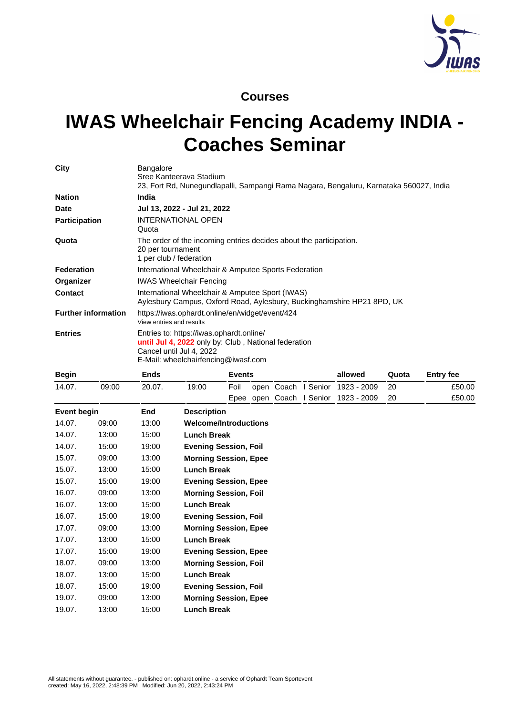

## **Courses**

## **IWAS Wheelchair Fencing Academy INDIA - Coaches Seminar**

| City                       | <b>Bangalore</b><br>Sree Kanteerava Stadium<br>23, Fort Rd, Nunegundlapalli, Sampangi Rama Nagara, Bengaluru, Karnataka 560027, India                               |
|----------------------------|---------------------------------------------------------------------------------------------------------------------------------------------------------------------|
| <b>Nation</b>              | <b>India</b>                                                                                                                                                        |
| <b>Date</b>                | Jul 13, 2022 - Jul 21, 2022                                                                                                                                         |
| <b>Participation</b>       | <b>INTERNATIONAL OPEN</b><br>Quota                                                                                                                                  |
| Quota                      | The order of the incoming entries decides about the participation.<br>20 per tournament<br>1 per club / federation                                                  |
| <b>Federation</b>          | International Wheelchair & Amputee Sports Federation                                                                                                                |
| Organizer                  | <b>IWAS Wheelchair Fencing</b>                                                                                                                                      |
| <b>Contact</b>             | International Wheelchair & Amputee Sport (IWAS)<br>Aylesbury Campus, Oxford Road, Aylesbury, Buckinghamshire HP21 8PD, UK                                           |
| <b>Further information</b> | https://iwas.ophardt.online/en/widget/event/424<br>View entries and results                                                                                         |
| <b>Entries</b>             | Entries to: https://iwas.ophardt.online/<br>until Jul 4, 2022 only by: Club, National federation<br>Cancel until Jul 4, 2022<br>E-Mail: wheelchairfencing@iwasf.com |

| <b>Begin</b>       |       | <b>Ends</b> |                              | <b>Events</b> |                 |        | allowed     | Quota | <b>Entry fee</b> |
|--------------------|-------|-------------|------------------------------|---------------|-----------------|--------|-------------|-------|------------------|
| 14.07.             | 09:00 | 20.07.      | 19:00                        | Foil          | open Coach      | Senior | 1923 - 2009 | 20    | £50.00           |
|                    |       |             |                              |               | Epee open Coach | Senior | 1923 - 2009 | 20    | £50.00           |
| <b>Event begin</b> |       | End         | <b>Description</b>           |               |                 |        |             |       |                  |
| 14.07.             | 09:00 | 13:00       | <b>Welcome/Introductions</b> |               |                 |        |             |       |                  |
| 14.07.             | 13:00 | 15:00       | <b>Lunch Break</b>           |               |                 |        |             |       |                  |
| 14.07.             | 15:00 | 19:00       | <b>Evening Session, Foil</b> |               |                 |        |             |       |                  |
| 15.07.             | 09:00 | 13:00       | <b>Morning Session, Epee</b> |               |                 |        |             |       |                  |
| 15.07.             | 13:00 | 15:00       | <b>Lunch Break</b>           |               |                 |        |             |       |                  |
| 15.07.             | 15:00 | 19:00       | <b>Evening Session, Epee</b> |               |                 |        |             |       |                  |
| 16.07.             | 09:00 | 13:00       | <b>Morning Session, Foil</b> |               |                 |        |             |       |                  |
| 16.07.             | 13:00 | 15:00       | <b>Lunch Break</b>           |               |                 |        |             |       |                  |
| 16.07.             | 15:00 | 19:00       | <b>Evening Session, Foil</b> |               |                 |        |             |       |                  |
| 17.07.             | 09:00 | 13:00       | <b>Morning Session, Epee</b> |               |                 |        |             |       |                  |
| 17.07.             | 13:00 | 15:00       | <b>Lunch Break</b>           |               |                 |        |             |       |                  |
| 17.07.             | 15:00 | 19:00       | <b>Evening Session, Epee</b> |               |                 |        |             |       |                  |
| 18.07.             | 09:00 | 13:00       | <b>Morning Session, Foil</b> |               |                 |        |             |       |                  |
| 18.07.             | 13:00 | 15:00       | <b>Lunch Break</b>           |               |                 |        |             |       |                  |
| 18.07.             | 15:00 | 19:00       | <b>Evening Session, Foil</b> |               |                 |        |             |       |                  |
| 19.07.             | 09:00 | 13:00       | <b>Morning Session, Epee</b> |               |                 |        |             |       |                  |
| 19.07.             | 13:00 | 15:00       | <b>Lunch Break</b>           |               |                 |        |             |       |                  |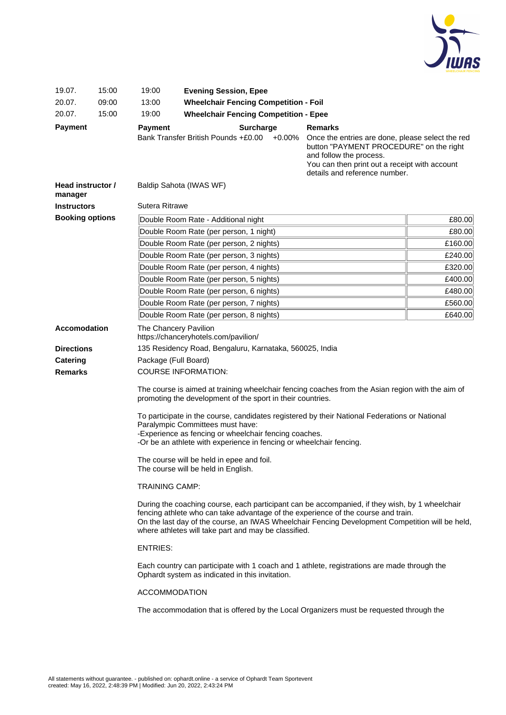

| 19.07.                       | 15:00                                                                                       | 19:00                                                                                                                                                                                                                                                                                                                                                                                                                                                                                                                                                                                                                                                                                                                                                                                                                                                                                              | <b>Evening Session, Epee</b>                                                                    |                                                                                                                                                                                           |  |  |  |  |  |  |
|------------------------------|---------------------------------------------------------------------------------------------|----------------------------------------------------------------------------------------------------------------------------------------------------------------------------------------------------------------------------------------------------------------------------------------------------------------------------------------------------------------------------------------------------------------------------------------------------------------------------------------------------------------------------------------------------------------------------------------------------------------------------------------------------------------------------------------------------------------------------------------------------------------------------------------------------------------------------------------------------------------------------------------------------|-------------------------------------------------------------------------------------------------|-------------------------------------------------------------------------------------------------------------------------------------------------------------------------------------------|--|--|--|--|--|--|
| 20.07.                       | 09:00                                                                                       | 13:00                                                                                                                                                                                                                                                                                                                                                                                                                                                                                                                                                                                                                                                                                                                                                                                                                                                                                              |                                                                                                 | <b>Wheelchair Fencing Competition - Foil</b>                                                                                                                                              |  |  |  |  |  |  |
| 20.07.                       | 15:00                                                                                       | 19:00                                                                                                                                                                                                                                                                                                                                                                                                                                                                                                                                                                                                                                                                                                                                                                                                                                                                                              | <b>Wheelchair Fencing Competition - Epee</b>                                                    |                                                                                                                                                                                           |  |  |  |  |  |  |
| <b>Payment</b>               |                                                                                             | <b>Payment</b>                                                                                                                                                                                                                                                                                                                                                                                                                                                                                                                                                                                                                                                                                                                                                                                                                                                                                     | <b>Surcharge</b><br>Bank Transfer British Pounds +£0.00<br>$+0.00%$                             | <b>Remarks</b><br>Once the entries are done, please select the red<br>button "PAYMENT PROCEDURE" on the right<br>and follow the process.<br>You can then print out a receipt with account |  |  |  |  |  |  |
| Head instructor /<br>manager |                                                                                             |                                                                                                                                                                                                                                                                                                                                                                                                                                                                                                                                                                                                                                                                                                                                                                                                                                                                                                    | Baldip Sahota (IWAS WF)                                                                         | details and reference number.                                                                                                                                                             |  |  |  |  |  |  |
| <b>Instructors</b>           |                                                                                             | <b>Sutera Ritrawe</b>                                                                                                                                                                                                                                                                                                                                                                                                                                                                                                                                                                                                                                                                                                                                                                                                                                                                              |                                                                                                 |                                                                                                                                                                                           |  |  |  |  |  |  |
| <b>Booking options</b>       |                                                                                             | Double Room Rate - Additional night                                                                                                                                                                                                                                                                                                                                                                                                                                                                                                                                                                                                                                                                                                                                                                                                                                                                | £80.00                                                                                          |                                                                                                                                                                                           |  |  |  |  |  |  |
|                              |                                                                                             | Double Room Rate (per person, 1 night)                                                                                                                                                                                                                                                                                                                                                                                                                                                                                                                                                                                                                                                                                                                                                                                                                                                             | £80.00                                                                                          |                                                                                                                                                                                           |  |  |  |  |  |  |
|                              |                                                                                             | £160.00<br>Double Room Rate (per person, 2 nights)                                                                                                                                                                                                                                                                                                                                                                                                                                                                                                                                                                                                                                                                                                                                                                                                                                                 |                                                                                                 |                                                                                                                                                                                           |  |  |  |  |  |  |
|                              |                                                                                             |                                                                                                                                                                                                                                                                                                                                                                                                                                                                                                                                                                                                                                                                                                                                                                                                                                                                                                    | Double Room Rate (per person, 3 nights)                                                         | £240.00                                                                                                                                                                                   |  |  |  |  |  |  |
|                              |                                                                                             |                                                                                                                                                                                                                                                                                                                                                                                                                                                                                                                                                                                                                                                                                                                                                                                                                                                                                                    | Double Room Rate (per person, 4 nights)                                                         | £320.00                                                                                                                                                                                   |  |  |  |  |  |  |
|                              |                                                                                             |                                                                                                                                                                                                                                                                                                                                                                                                                                                                                                                                                                                                                                                                                                                                                                                                                                                                                                    | Double Room Rate (per person, 5 nights)                                                         | £400.00                                                                                                                                                                                   |  |  |  |  |  |  |
|                              |                                                                                             |                                                                                                                                                                                                                                                                                                                                                                                                                                                                                                                                                                                                                                                                                                                                                                                                                                                                                                    | Double Room Rate (per person, 6 nights)                                                         | £480.00                                                                                                                                                                                   |  |  |  |  |  |  |
|                              |                                                                                             | Double Room Rate (per person, 7 nights)                                                                                                                                                                                                                                                                                                                                                                                                                                                                                                                                                                                                                                                                                                                                                                                                                                                            | £560.00                                                                                         |                                                                                                                                                                                           |  |  |  |  |  |  |
|                              |                                                                                             | £640.00<br>Double Room Rate (per person, 8 nights)                                                                                                                                                                                                                                                                                                                                                                                                                                                                                                                                                                                                                                                                                                                                                                                                                                                 |                                                                                                 |                                                                                                                                                                                           |  |  |  |  |  |  |
| <b>Accomodation</b>          |                                                                                             |                                                                                                                                                                                                                                                                                                                                                                                                                                                                                                                                                                                                                                                                                                                                                                                                                                                                                                    | The Chancery Pavilion                                                                           |                                                                                                                                                                                           |  |  |  |  |  |  |
| <b>Directions</b>            |                                                                                             |                                                                                                                                                                                                                                                                                                                                                                                                                                                                                                                                                                                                                                                                                                                                                                                                                                                                                                    | https://chanceryhotels.com/pavilion/<br>135 Residency Road, Bengaluru, Karnataka, 560025, India |                                                                                                                                                                                           |  |  |  |  |  |  |
| Catering                     |                                                                                             |                                                                                                                                                                                                                                                                                                                                                                                                                                                                                                                                                                                                                                                                                                                                                                                                                                                                                                    | Package (Full Board)                                                                            |                                                                                                                                                                                           |  |  |  |  |  |  |
| <b>Remarks</b>               |                                                                                             |                                                                                                                                                                                                                                                                                                                                                                                                                                                                                                                                                                                                                                                                                                                                                                                                                                                                                                    | <b>COURSE INFORMATION:</b>                                                                      |                                                                                                                                                                                           |  |  |  |  |  |  |
|                              |                                                                                             | The course is aimed at training wheelchair fencing coaches from the Asian region with the aim of<br>promoting the development of the sport in their countries.<br>To participate in the course, candidates registered by their National Federations or National<br>Paralympic Committees must have:<br>-Experience as fencing or wheelchair fencing coaches.<br>-Or be an athlete with experience in fencing or wheelchair fencing.<br>The course will be held in epee and foil.<br>The course will be held in English.<br><b>TRAINING CAMP:</b><br>During the coaching course, each participant can be accompanied, if they wish, by 1 wheelchair<br>fencing athlete who can take advantage of the experience of the course and train.<br>On the last day of the course, an IWAS Wheelchair Fencing Development Competition will be held,<br>where athletes will take part and may be classified. |                                                                                                 |                                                                                                                                                                                           |  |  |  |  |  |  |
|                              |                                                                                             |                                                                                                                                                                                                                                                                                                                                                                                                                                                                                                                                                                                                                                                                                                                                                                                                                                                                                                    |                                                                                                 |                                                                                                                                                                                           |  |  |  |  |  |  |
|                              | Each country can participate with 1 coach and 1 athlete, registrations are made through the |                                                                                                                                                                                                                                                                                                                                                                                                                                                                                                                                                                                                                                                                                                                                                                                                                                                                                                    |                                                                                                 |                                                                                                                                                                                           |  |  |  |  |  |  |
|                              |                                                                                             | <b>ACCOMMODATION</b>                                                                                                                                                                                                                                                                                                                                                                                                                                                                                                                                                                                                                                                                                                                                                                                                                                                                               |                                                                                                 |                                                                                                                                                                                           |  |  |  |  |  |  |
|                              |                                                                                             |                                                                                                                                                                                                                                                                                                                                                                                                                                                                                                                                                                                                                                                                                                                                                                                                                                                                                                    | The accommodation that is offered by the Local Organizers must be requested through the         |                                                                                                                                                                                           |  |  |  |  |  |  |